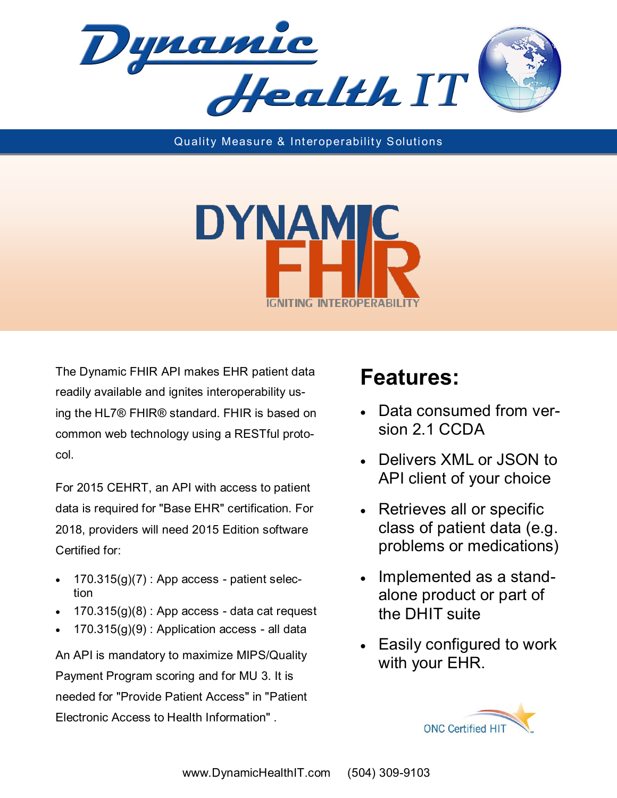

Quality Measure & Interoperability Solutions



The Dynamic FHIR API makes EHR patient data readily available and ignites interoperability using the HL7® FHIR® standard. FHIR is based on common web technology using a RESTful protocol.

For 2015 CEHRT, an API with access to patient data is required for "Base EHR" certification. For 2018, providers will need 2015 Edition software Certified for:

- $170.315(g)(7)$ : App access patient selection
- $170.315(q)(8)$ : App access data cat request
- $170.315(g)(9)$ : Application access all data

An API is mandatory to maximize MIPS/Quality Payment Program scoring and for MU 3. It is needed for "Provide Patient Access" in "Patient Electronic Access to Health Information" .

## **Features:**

- Data consumed from version 2.1 CCDA
- Delivers XML or JSON to API client of your choice
- Retrieves all or specific class of patient data (e.g. problems or medications)
- Implemented as a standalone product or part of the DHIT suite
- Easily configured to work with your EHR.